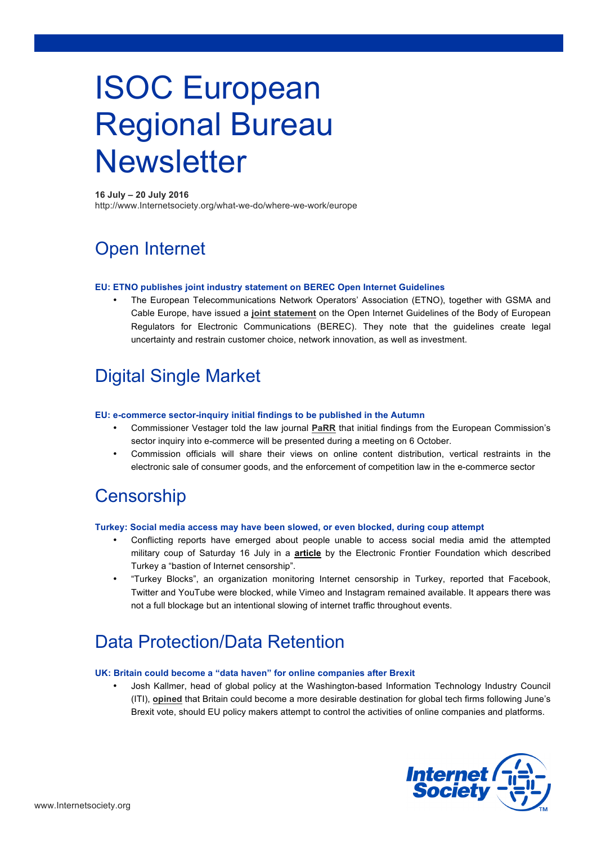# ISOC European Regional Bureau **Newsletter**

### **16 July – 20 July 2016**

http://www.Internetsociety.org/what-we-do/where-we-work/europe

# Open Internet

### **EU: ETNO publishes joint industry statement on BEREC Open Internet Guidelines**

• The European Telecommunications Network Operators' Association (ETNO), together with GSMA and Cable Europe, have issued a **joint statement** on the Open Internet Guidelines of the Body of European Regulators for Electronic Communications (BEREC). They note that the guidelines create legal uncertainty and restrain customer choice, network innovation, as well as investment.

### Digital Single Market

### **EU: e-commerce sector-inquiry initial findings to be published in the Autumn**

- Commissioner Vestager told the law journal **PaRR** that initial findings from the European Commission's sector inquiry into e-commerce will be presented during a meeting on 6 October.
- Commission officials will share their views on online content distribution, vertical restraints in the electronic sale of consumer goods, and the enforcement of competition law in the e-commerce sector

### **Censorship**

### **Turkey: Social media access may have been slowed, or even blocked, during coup attempt**

- Conflicting reports have emerged about people unable to access social media amid the attempted military coup of Saturday 16 July in a **article** by the Electronic Frontier Foundation which described Turkey a "bastion of Internet censorship".
- "Turkey Blocks", an organization monitoring Internet censorship in Turkey, reported that Facebook, Twitter and YouTube were blocked, while Vimeo and Instagram remained available. It appears there was not a full blockage but an intentional slowing of internet traffic throughout events.

# Data Protection/Data Retention

### **UK: Britain could become a "data haven" for online companies after Brexit**

• Josh Kallmer, head of global policy at the Washington-based Information Technology Industry Council (ITI), **opined** that Britain could become a more desirable destination for global tech firms following June's Brexit vote, should EU policy makers attempt to control the activities of online companies and platforms.